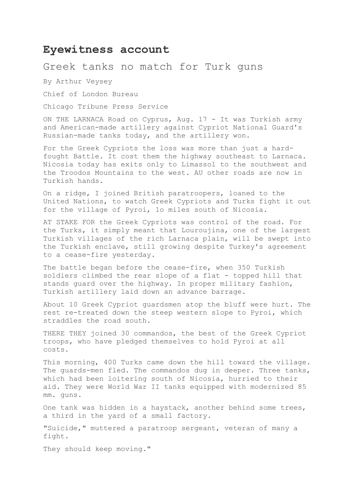## **Eyewitness account**

## Greek tanks no match for Turk guns

By Arthur Veysey

Chief of London Bureau

Chicago Tribune Press Service

ON THE LARNACA Road on Cyprus, Aug. 17 - It was Turkish army and American-made artillery against Cypriot National Guard's Russian-made tanks today, and the artillery won.

For the Greek Cypriots the loss was more than just a hardfought Battle. It cost them the highway southeast to Larnaca. Nicosia today has exits only to Limassol to the southwest and the Troodos Mountains to the west. AU other roads are now in Turkish hands.

On a ridge, I joined British paratroopers, loaned to the United Nations, to watch Greek Cypriots and Turks fight it out for the village of Pyroi, 1o miles south of Nicosia.

AT STAKE FOR the Greek Cypriots was control of the road. For the Turks, it simply meant that Louroujina, one of the largest Turkish villages of the rich Larnaca plain, will be swept into the Turkish enclave, still growing despite Turkey's agreement to a cease-fire yesterday.

The battle began before the cease-fire, when 350 Turkish soldiers climbed the rear slope of a flat - topped hill that stands guard over the highway. In proper military fashion, Turkish artillery laid down an advance barrage.

About 10 Greek Cypriot guardsmen atop the bluff were hurt. The rest re-treated down the steep western slope to Pyroi, which straddles the road south.

THERE THEY joined 30 commandos, the best of the Greek Cypriot troops, who have pledged themselves to hold Pyroi at all costs.

This morning, 400 Turks came down the hill toward the village. The guards-men fled. The commandos dug in deeper. Three tanks, which had been loitering south of Nicosia, hurried to their aid. They were World War II tanks equipped with modernized 85 mm. guns.

One tank was hidden in a haystack, another behind some trees, a third in the yard of a small factory.

"Suicide," muttered a paratroop sergeant, veteran of many a fight.

They should keep moving."